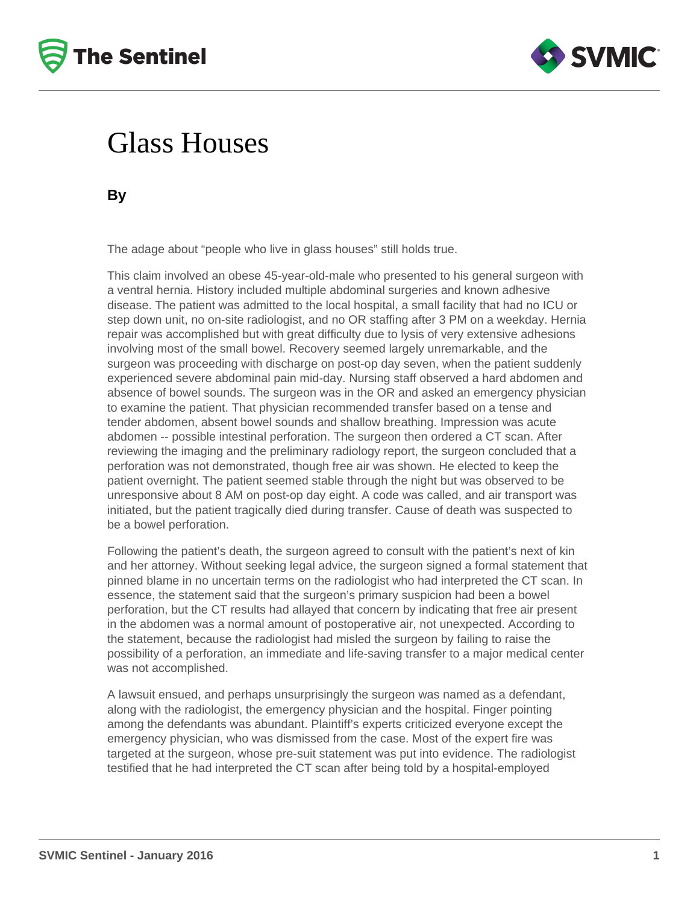



## Glass Houses

**By**

The adage about "people who live in glass houses" still holds true.

This claim involved an obese 45-year-old-male who presented to his general surgeon with a ventral hernia. History included multiple abdominal surgeries and known adhesive disease. The patient was admitted to the local hospital, a small facility that had no ICU or step down unit, no on-site radiologist, and no OR staffing after 3 PM on a weekday. Hernia repair was accomplished but with great difficulty due to lysis of very extensive adhesions involving most of the small bowel. Recovery seemed largely unremarkable, and the surgeon was proceeding with discharge on post-op day seven, when the patient suddenly experienced severe abdominal pain mid-day. Nursing staff observed a hard abdomen and absence of bowel sounds. The surgeon was in the OR and asked an emergency physician to examine the patient. That physician recommended transfer based on a tense and tender abdomen, absent bowel sounds and shallow breathing. Impression was acute abdomen -- possible intestinal perforation. The surgeon then ordered a CT scan. After reviewing the imaging and the preliminary radiology report, the surgeon concluded that a perforation was not demonstrated, though free air was shown. He elected to keep the patient overnight. The patient seemed stable through the night but was observed to be unresponsive about 8 AM on post-op day eight. A code was called, and air transport was initiated, but the patient tragically died during transfer. Cause of death was suspected to be a bowel perforation.

Following the patient's death, the surgeon agreed to consult with the patient's next of kin and her attorney. Without seeking legal advice, the surgeon signed a formal statement that pinned blame in no uncertain terms on the radiologist who had interpreted the CT scan. In essence, the statement said that the surgeon's primary suspicion had been a bowel perforation, but the CT results had allayed that concern by indicating that free air present in the abdomen was a normal amount of postoperative air, not unexpected. According to the statement, because the radiologist had misled the surgeon by failing to raise the possibility of a perforation, an immediate and life-saving transfer to a major medical center was not accomplished.

A lawsuit ensued, and perhaps unsurprisingly the surgeon was named as a defendant, along with the radiologist, the emergency physician and the hospital. Finger pointing among the defendants was abundant. Plaintiff's experts criticized everyone except the emergency physician, who was dismissed from the case. Most of the expert fire was targeted at the surgeon, whose pre-suit statement was put into evidence. The radiologist testified that he had interpreted the CT scan after being told by a hospital-employed